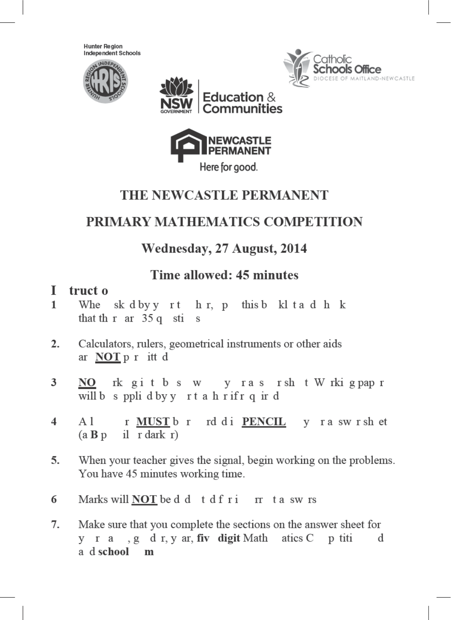**Hunter Region** Independent Schools









## THE NEWCASTLE PERMANENT

## PRIMARY MATHEMATICS COMPETITION

## Wednesday, 27 August, 2014

## Time allowed: 45 minutes

#### T truct o

- $\mathbf{1}$ Whe sk dby y rt h r, p this b kl t a d h k that th r ar 35 q sti  $\mathbf{s}$
- $\overline{2}$ . Calculators, rulers, geometrical instruments or other aids ar NOT p r itt d
- y ras rsh t W rki g pap r 3 rk gitbs w NOwill b s ppli d by y rt a h rifr q ir d
- r MUST b r rd di PENCIL y ra swrsh et  $\overline{\mathbf{4}}$  $A<sub>1</sub>$ il r dark r)  $(a \mathbf{B} p)$
- 5. When your teacher gives the signal, begin working on the problems. You have 45 minutes working time.
- Marks will **NOT** be d d t d f r i r t a sw rs 6
- Make sure that you complete the sections on the answer sheet for 7. y r a , g d r, y ar, fiv digit Math atics C p titi  $\mathbf d$ a d school m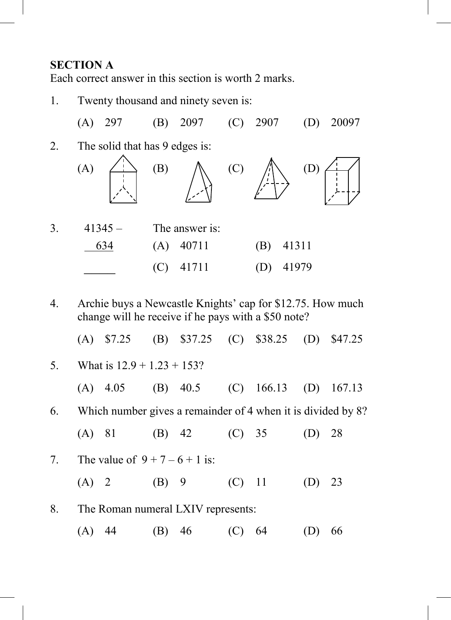#### **SECTION A**

Each correct answer in this section is worth 2 marks.

- 1. Twenty thousand and ninety seven is: (A) 297 (B) 2097 (C) 2907 (D) 20097 2. The solid that has 9 edges is:  $(A) \xrightarrow{\qquad} (B) \qquad \wedge \qquad (C) \qquad \wedge \wedge \qquad (D)$ 3. 41345 – The answer is: 634 (A) 40711 (B) 41311 \_\_\_\_ (C) 41711 (D) 41979
- 4. Archie buys a Newcastle Knights' cap for \$12.75. How much change will he receive if he pays with a \$50 note?
	- (A) \$7.25 (B) \$37.25 (C) \$38.25 (D) \$47.25

| 5.<br>What is $12.9 + 1.23 + 153$ ? |                                                                 |                                  |       |            |  |                           |  |    |
|-------------------------------------|-----------------------------------------------------------------|----------------------------------|-------|------------|--|---------------------------|--|----|
|                                     |                                                                 | $(A)$ 4.05                       |       | $(B)$ 40.5 |  | $(C)$ 166.13 $(D)$ 167.13 |  |    |
|                                     | 6. Which number gives a remainder of 4 when it is divided by 8? |                                  |       |            |  |                           |  |    |
|                                     |                                                                 | $(A)$ 81                         |       | $(B)$ 42   |  | (C) 35                    |  | 28 |
| 7.                                  |                                                                 | The value of $9 + 7 - 6 + 1$ is: |       |            |  |                           |  |    |
|                                     |                                                                 | $(A)$ 2                          | (B) 9 |            |  | $(C)$ 11 $(D)$            |  | 23 |
| 8.                                  | The Roman numeral LXIV represents:                              |                                  |       |            |  |                           |  |    |
|                                     | (A)                                                             | -44                              | (B)   | - 46       |  | 64                        |  | 66 |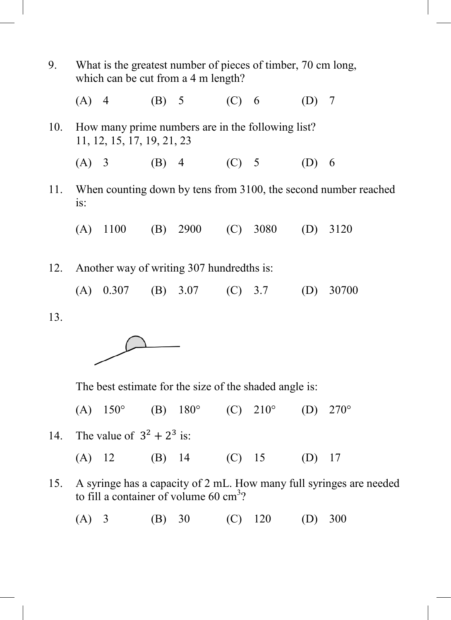| 9.  | What is the greatest number of pieces of timber, 70 cm long,<br>which can be cut from a 4 m length? |                                      |  |             |  |  |         |       |
|-----|-----------------------------------------------------------------------------------------------------|--------------------------------------|--|-------------|--|--|---------|-------|
|     |                                                                                                     | (A) 4                                |  | (B) 5 (C) 6 |  |  | $(D)$ 7 |       |
| 10. | How many prime numbers are in the following list?<br>11, 12, 15, 17, 19, 21, 23                     |                                      |  |             |  |  |         |       |
|     |                                                                                                     | $(A)$ 3                              |  | (B) 4 (C) 5 |  |  | (D)     | - 6   |
|     | 11. When counting down by tens from 3100, the second number reached<br>is:                          |                                      |  |             |  |  |         |       |
|     |                                                                                                     | (A) 1100 (B) 2900 (C) 3080 (D)       |  |             |  |  |         | 3120  |
| 12. | Another way of writing 307 hundredths is:                                                           |                                      |  |             |  |  |         |       |
|     |                                                                                                     | (A) $0.307$ (B) $3.07$ (C) $3.7$ (D) |  |             |  |  |         | 30700 |
| 13. |                                                                                                     |                                      |  |             |  |  |         |       |
|     |                                                                                                     |                                      |  |             |  |  |         |       |

The best estimate for the size of the shaded angle is:

(A)  $150^{\circ}$  (B)  $180^{\circ}$  (C)  $210^{\circ}$  (D)  $270^{\circ}$ 

- 14. The value of  $3^2 + 2^3$  is:
	- (A) 12 (B) 14 (C) 15 (D) 17
- 15. A syringe has a capacity of 2 mL. How many full syringes are needed to fill a container of volume  $60 \text{ cm}^3$ ?
	- (A) 3 (B) 30 (C) 120 (D) 300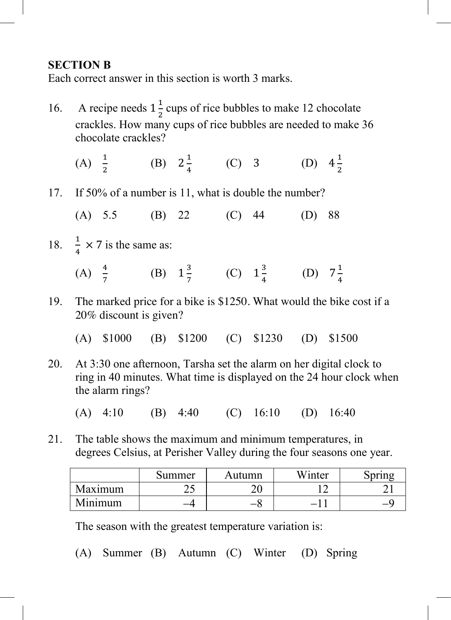### **SECTION B**

Each correct answer in this section is worth 3 marks.

- 16. A recipe needs  $1\frac{1}{2}$  cups of rice bubbles to make 12 chocolate crackles. How many cups of rice bubbles are needed to make  $36$ chocolate crackles?
- (A)  $\frac{1}{2}$  (B)  $2\frac{1}{4}$  (C) 3 (D)  $\overline{z}$  $\overline{a}$  $\overline{z}$
- 17. If 50% of a number is 11, what is double the number?
	- (A) 5.5 (B) 22 (C) 44 (D) 88
- 18.  $\frac{1}{4} \times 7$  is the same as:
- (A)  $\frac{1}{7}$  (B)  $1\frac{3}{7}$  (C)  $1\frac{3}{4}$  (D)  $7\frac{1}{4}$
- 19. The marked price for a bike is \$1250. What would the bike cost if a 20% discount is given?
	- (A) \$1000 (B) \$1200 (C) \$1230 (D) \$1500
- 20. At 3:30 one afternoon, Tarsha set the alarm on her digital clock to ring in 40 minutes. What time is displayed on the 24 hour clock when the alarm rings?

(A) 4:10 (B) 4:40 (C) 16:10 (D) 16:40

21. The table shows the maximum and minimum temperatures, in degrees Celsius, at Perisher Valley during the four seasons one year.

|         | Summer | Autumn | Winter                   | <b>pring</b> |
|---------|--------|--------|--------------------------|--------------|
| Maximum | ر_     | ີ      |                          |              |
| Minimum |        | —c     | $\overline{\phantom{0}}$ |              |

The season with the greatest temperature variation is:

(A) Summer (B) Autumn (C) Winter (D) Spring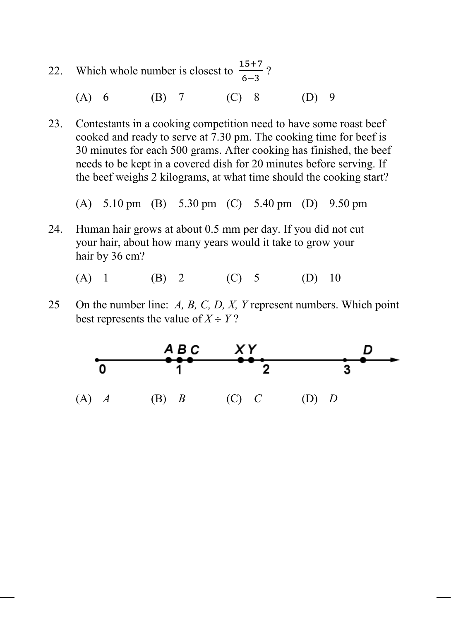- 22. Which whole number is closest to  $\ddot{\mathbf{6}}$ ?
- (A) 6 (B) 7 (C) 8 (D) 9
- 23. Contestants in a cooking competition need to have some roast beef cooked and ready to serve at 7.30 pm. The cooking time for beef is 30 minutes for each 500 grams. After cooking has finished, the beef needs to be kept in a covered dish for 20 minutes before serving. If the beef weighs 2 kilograms, at what time should the cooking start?

(A) 5.10 pm (B) 5.30 pm (C) 5.40 pm (D) 9.50 pm

24. Human hair grows at about 0.5 mm per day. If you did not cut your hair, about how many years would it take to grow your hair by 36 cm?

(A) 1 (B) 2 (C) 5 (D) 10

25 On the number line: *A, B, C, D, X, Y* represent numbers. Which point best represents the value of  $X \div Y$ ?

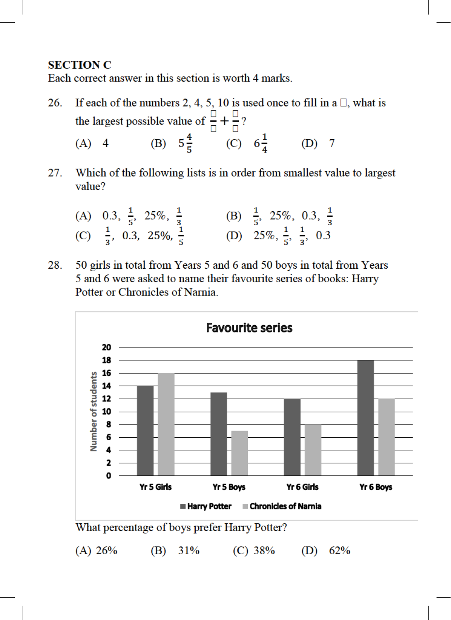#### **SECTION C**

Each correct answer in this section is worth 4 marks.

- 26. If each of the numbers 2, 4, 5, 10 is used once to fill in a  $\Box$ , what is the largest possible value of  $\frac{1}{\Box} + \frac{1}{\Box}$ ?<br>
(A) 4 (B)  $5\frac{4}{5}$  (C)  $6\frac{1}{4}$  $(D)$  7
- Which of the following lists is in order from smallest value to largest 27. value?

| (A) 0.3, $\frac{1}{5}$ , 25%, $\frac{1}{3}$ | (B) $\frac{1}{5}$ , 25%, 0.3, $\frac{1}{3}$ |
|---------------------------------------------|---------------------------------------------|
| (C) $\frac{1}{3}$ , 0.3, 25%, $\frac{1}{5}$ | (D) $25\%, \frac{1}{5}, \frac{1}{3}, 0.3$   |

50 girls in total from Years 5 and 6 and 50 boys in total from Years 28. 5 and 6 were asked to name their favourite series of books: Harry Potter or Chronicles of Narnia.

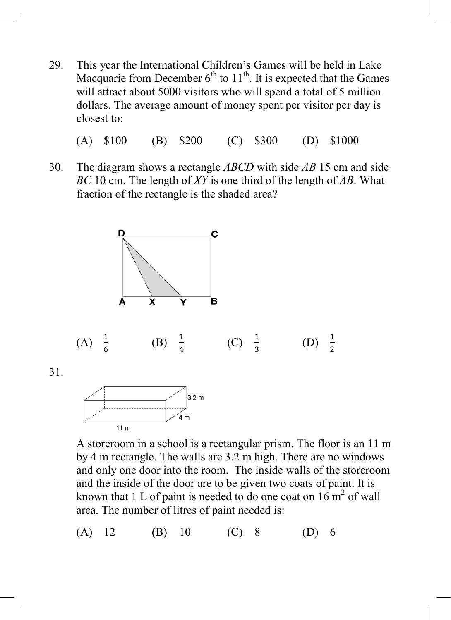29. This year the International Children's Games will be held in Lake Macquarie from December  $6<sup>th</sup>$  to  $11<sup>th</sup>$ . It is expected that the Games will attract about 5000 visitors who will spend a total of 5 million dollars. The average amount of money spent per visitor per day is closest to:

(A) \$100 (B) \$200 (C) \$300 (D) \$1000

30. The diagram shows a rectangle *ABCD* with side *AB* 15 cm and side *BC* 10 cm. The length of *XY* is one third of the length of *AB*. What fraction of the rectangle is the shaded area?



A storeroom in a school is a rectangular prism. The floor is an 11 m by 4 m rectangle. The walls are 3.2 m high. There are no windows and only one door into the room. The inside walls of the storeroom and the inside of the door are to be given two coats of paint. It is known that 1 L of paint is needed to do one coat on  $16 \text{ m}^2$  of wall area. The number of litres of paint needed is:

(A) 12 (B) 10 (C) 8 (D) 6